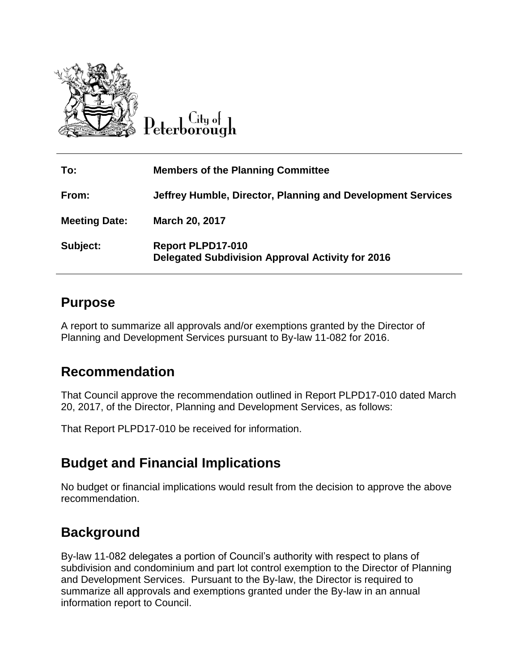

Lity of Peterborough

| To:                  | <b>Members of the Planning Committee</b>                                     |
|----------------------|------------------------------------------------------------------------------|
| From:                | Jeffrey Humble, Director, Planning and Development Services                  |
| <b>Meeting Date:</b> | <b>March 20, 2017</b>                                                        |
| Subject:             | Report PLPD17-010<br><b>Delegated Subdivision Approval Activity for 2016</b> |

## **Purpose**

A report to summarize all approvals and/or exemptions granted by the Director of Planning and Development Services pursuant to By-law 11-082 for 2016.

## **Recommendation**

That Council approve the recommendation outlined in Report PLPD17-010 dated March 20, 2017, of the Director, Planning and Development Services, as follows:

That Report PLPD17-010 be received for information.

# **Budget and Financial Implications**

No budget or financial implications would result from the decision to approve the above recommendation.

# **Background**

By-law 11-082 delegates a portion of Council's authority with respect to plans of subdivision and condominium and part lot control exemption to the Director of Planning and Development Services. Pursuant to the By-law, the Director is required to summarize all approvals and exemptions granted under the By-law in an annual information report to Council.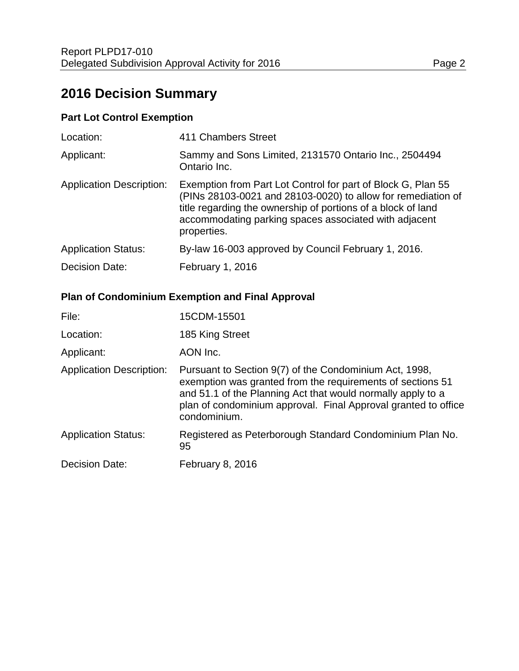# **2016 Decision Summary**

#### **Part Lot Control Exemption**

| Location:                       | 411 Chambers Street                                                                                                                                                                                                                                                  |
|---------------------------------|----------------------------------------------------------------------------------------------------------------------------------------------------------------------------------------------------------------------------------------------------------------------|
| Applicant:                      | Sammy and Sons Limited, 2131570 Ontario Inc., 2504494<br>Ontario Inc.                                                                                                                                                                                                |
| <b>Application Description:</b> | Exemption from Part Lot Control for part of Block G, Plan 55<br>(PINs 28103-0021 and 28103-0020) to allow for remediation of<br>title regarding the ownership of portions of a block of land<br>accommodating parking spaces associated with adjacent<br>properties. |
| <b>Application Status:</b>      | By-law 16-003 approved by Council February 1, 2016.                                                                                                                                                                                                                  |
| Decision Date:                  | February 1, 2016                                                                                                                                                                                                                                                     |

### **Plan of Condominium Exemption and Final Approval**

| File:                           | 15CDM-15501                                                                                                                                                                                                                                                           |
|---------------------------------|-----------------------------------------------------------------------------------------------------------------------------------------------------------------------------------------------------------------------------------------------------------------------|
| Location:                       | 185 King Street                                                                                                                                                                                                                                                       |
| Applicant:                      | AON Inc.                                                                                                                                                                                                                                                              |
| <b>Application Description:</b> | Pursuant to Section 9(7) of the Condominium Act, 1998,<br>exemption was granted from the requirements of sections 51<br>and 51.1 of the Planning Act that would normally apply to a<br>plan of condominium approval. Final Approval granted to office<br>condominium. |
| <b>Application Status:</b>      | Registered as Peterborough Standard Condominium Plan No.<br>95                                                                                                                                                                                                        |
| <b>Decision Date:</b>           | <b>February 8, 2016</b>                                                                                                                                                                                                                                               |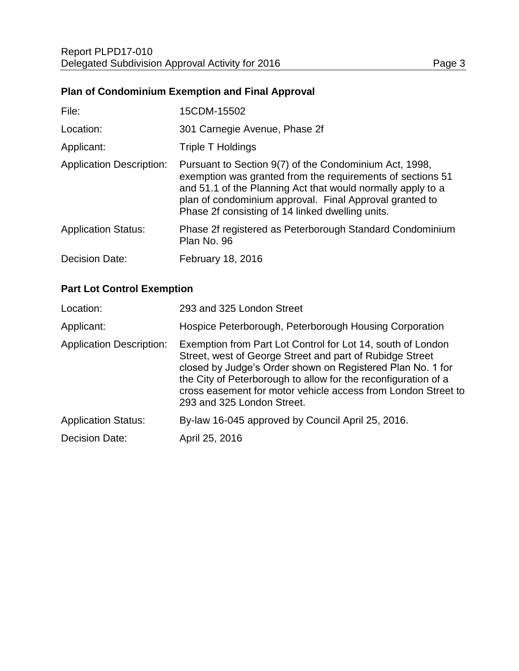## **Plan of Condominium Exemption and Final Approval**

| File:                           | 15CDM-15502                                                                                                                                                                                                                                                                                        |
|---------------------------------|----------------------------------------------------------------------------------------------------------------------------------------------------------------------------------------------------------------------------------------------------------------------------------------------------|
| Location:                       | 301 Carnegie Avenue, Phase 2f                                                                                                                                                                                                                                                                      |
| Applicant:                      | Triple T Holdings                                                                                                                                                                                                                                                                                  |
| <b>Application Description:</b> | Pursuant to Section 9(7) of the Condominium Act, 1998,<br>exemption was granted from the requirements of sections 51<br>and 51.1 of the Planning Act that would normally apply to a<br>plan of condominium approval. Final Approval granted to<br>Phase 2f consisting of 14 linked dwelling units. |
| <b>Application Status:</b>      | Phase 2f registered as Peterborough Standard Condominium<br>Plan No. 96                                                                                                                                                                                                                            |
| <b>Decision Date:</b>           | February 18, 2016                                                                                                                                                                                                                                                                                  |

#### **Part Lot Control Exemption**

| Location:                       | 293 and 325 London Street                                                                                                                                                                                                                                                                                                                              |
|---------------------------------|--------------------------------------------------------------------------------------------------------------------------------------------------------------------------------------------------------------------------------------------------------------------------------------------------------------------------------------------------------|
| Applicant:                      | Hospice Peterborough, Peterborough Housing Corporation                                                                                                                                                                                                                                                                                                 |
| <b>Application Description:</b> | Exemption from Part Lot Control for Lot 14, south of London<br>Street, west of George Street and part of Rubidge Street<br>closed by Judge's Order shown on Registered Plan No. 1 for<br>the City of Peterborough to allow for the reconfiguration of a<br>cross easement for motor vehicle access from London Street to<br>293 and 325 London Street. |
| <b>Application Status:</b>      | By-law 16-045 approved by Council April 25, 2016.                                                                                                                                                                                                                                                                                                      |
| <b>Decision Date:</b>           | April 25, 2016                                                                                                                                                                                                                                                                                                                                         |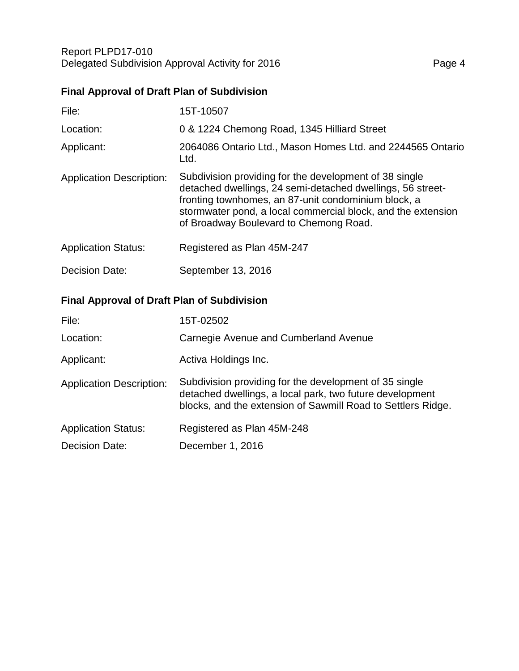## **Final Approval of Draft Plan of Subdivision**

| File:                           | 15T-10507                                                                                                                                                                                                                                                                             |
|---------------------------------|---------------------------------------------------------------------------------------------------------------------------------------------------------------------------------------------------------------------------------------------------------------------------------------|
| Location:                       | 0 & 1224 Chemong Road, 1345 Hilliard Street                                                                                                                                                                                                                                           |
| Applicant:                      | 2064086 Ontario Ltd., Mason Homes Ltd. and 2244565 Ontario<br>Ltd.                                                                                                                                                                                                                    |
| <b>Application Description:</b> | Subdivision providing for the development of 38 single<br>detached dwellings, 24 semi-detached dwellings, 56 street-<br>fronting townhomes, an 87-unit condominium block, a<br>stormwater pond, a local commercial block, and the extension<br>of Broadway Boulevard to Chemong Road. |
| <b>Application Status:</b>      | Registered as Plan 45M-247                                                                                                                                                                                                                                                            |
| Decision Date:                  | September 13, 2016                                                                                                                                                                                                                                                                    |

## **Final Approval of Draft Plan of Subdivision**

| File:                           | 15T-02502                                                                                                                                                                          |
|---------------------------------|------------------------------------------------------------------------------------------------------------------------------------------------------------------------------------|
| Location:                       | Carnegie Avenue and Cumberland Avenue                                                                                                                                              |
| Applicant:                      | Activa Holdings Inc.                                                                                                                                                               |
| <b>Application Description:</b> | Subdivision providing for the development of 35 single<br>detached dwellings, a local park, two future development<br>blocks, and the extension of Sawmill Road to Settlers Ridge. |
| <b>Application Status:</b>      | Registered as Plan 45M-248                                                                                                                                                         |
| Decision Date:                  | December 1, 2016                                                                                                                                                                   |